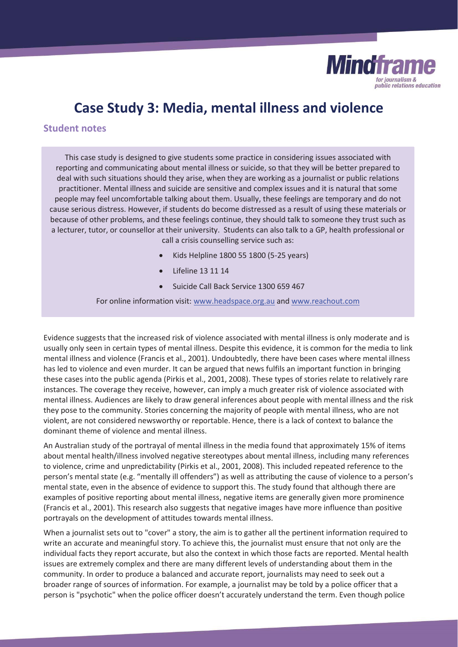

# **Case Study 3: Media, mental illness and violence**

## **Student notes**

This case study is designed to give students some practice in considering issues associated with reporting and communicating about mental illness or suicide, so that they will be better prepared to deal with such situations should they arise, when they are working as a journalist or public relations practitioner. Mental illness and suicide are sensitive and complex issues and it is natural that some people may feel uncomfortable talking about them. Usually, these feelings are temporary and do not cause serious distress. However, if students do become distressed as a result of using these materials or because of other problems, and these feelings continue, they should talk to someone they trust such as a lecturer, tutor, or counsellor at their university. Students can also talk to a GP, health professional or call a crisis counselling service such as:

- x Kids Helpline 1800 55 1800 (5-25 years)
- Lifeline 13 11 14
- Suicide Call Back Service 1300 659 467

For online information visit: www.headspace.org.au and www.reachout.com

Evidence suggests that the increased risk of violence associated with mental illness is only moderate and is usually only seen in certain types of mental illness. Despite this evidence, it is common for the media to link mental illness and violence (Francis et al., 2001). Undoubtedly, there have been cases where mental illness has led to violence and even murder. It can be argued that news fulfils an important function in bringing these cases into the public agenda (Pirkis et al., 2001, 2008). These types of stories relate to relatively rare instances. The coverage they receive, however, can imply a much greater risk of violence associated with mental illness. Audiences are likely to draw general inferences about people with mental illness and the risk they pose to the community. Stories concerning the majority of people with mental illness, who are not violent, are not considered newsworthy or reportable. Hence, there is a lack of context to balance the dominant theme of violence and mental illness.

An Australian study of the portrayal of mental illness in the media found that approximately 15% of items about mental health/illness involved negative stereotypes about mental illness, including many references to violence, crime and unpredictability (Pirkis et al., 2001, 2008). This included repeated reference to the person's mental state (e.g. "mentally ill offenders") as well as attributing the cause of violence to a person's mental state, even in the absence of evidence to support this. The study found that although there are examples of positive reporting about mental illness, negative items are generally given more prominence (Francis et al., 2001). This research also suggests that negative images have more influence than positive portrayals on the development of attitudes towards mental illness.

When a journalist sets out to "cover" a story, the aim is to gather all the pertinent information required to write an accurate and meaningful story. To achieve this, the journalist must ensure that not only are the individual facts they report accurate, but also the context in which those facts are reported. Mental health issues are extremely complex and there are many different levels of understanding about them in the community. In order to produce a balanced and accurate report, journalists may need to seek out a broader range of sources of information. For example, a journalist may be told by a police officer that a person is "psychotic" when the police officer doesn't accurately understand the term. Even though police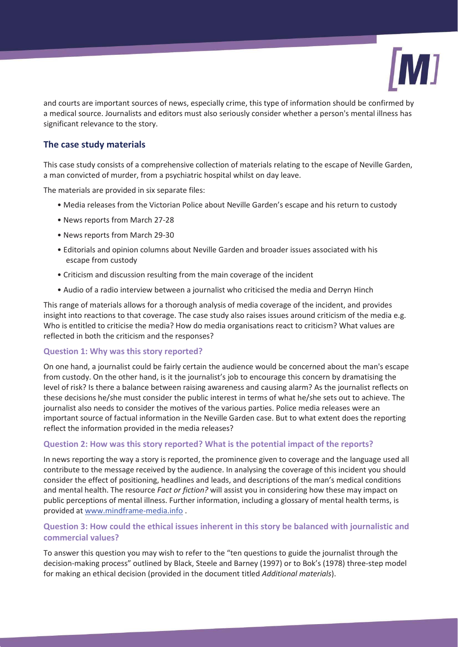

and courts are important sources of news, especially crime, this type of information should be confirmed by a medical source. Journalists and editors must also seriously consider whether a person's mental illness has significant relevance to the story.

## **The case study materials**

This case study consists of a comprehensive collection of materials relating to the escape of Neville Garden, a man convicted of murder, from a psychiatric hospital whilst on day leave.

The materials are provided in six separate files:

- Media releases from the Victorian Police about Neville Garden's escape and his return to custody
- News reports from March 27-28
- News reports from March 29-30
- Editorials and opinion columns about Neville Garden and broader issues associated with his escape from custody
- Criticism and discussion resulting from the main coverage of the incident
- Audio of a radio interview between a journalist who criticised the media and Derryn Hinch

This range of materials allows for a thorough analysis of media coverage of the incident, and provides insight into reactions to that coverage. The case study also raises issues around criticism of the media e.g. Who is entitled to criticise the media? How do media organisations react to criticism? What values are reflected in both the criticism and the responses?

#### **Question 1: Why was this story reported?**

On one hand, a journalist could be fairly certain the audience would be concerned about the man's escape from custody. On the other hand, is it the journalist's job to encourage this concern by dramatising the level of risk? Is there a balance between raising awareness and causing alarm? As the journalist reflects on these decisions he/she must consider the public interest in terms of what he/she sets out to achieve. The journalist also needs to consider the motives of the various parties. Police media releases were an important source of factual information in the Neville Garden case. But to what extent does the reporting reflect the information provided in the media releases?

### **Question 2: How was this story reported? What is the potential impact of the reports?**

In news reporting the way a story is reported, the prominence given to coverage and the language used all contribute to the message received by the audience. In analysing the coverage of this incident you should consider the effect of positioning, headlines and leads, and descriptions of the man's medical conditions and mental health. The resource *Fact or fiction?* will assist you in considering how these may impact on public perceptions of mental illness. Further information, including a glossary of mental health terms, is provided at www.mindframe-media.info .

### **Question 3: How could the ethical issues inherent in this story be balanced with journalistic and commercial values?**

To answer this question you may wish to refer to the "ten questions to guide the journalist through the decision-making process" outlined by Black, Steele and Barney (1997) or to Bok's (1978) three-step model for making an ethical decision (provided in the document titled *Additional materials*).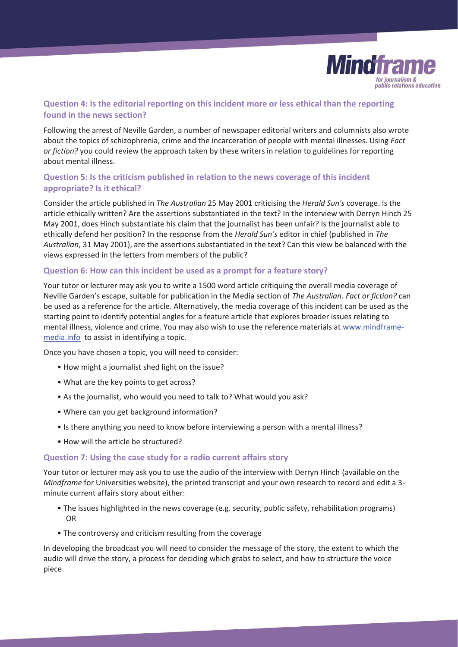

## **Question 4: Is the editorial reporting on this incident more or less ethical than the reporting found in the news section?**

Following the arrest of Neville Garden, a number of newspaper editorial writers and columnists also wrote about the topics of schizophrenia, crime and the incarceration of people with mental illnesses. Using *Fact or fiction?* you could review the approach taken by these writers in relation to guidelines for reporting about mental illness.

## **Question 5: Is the criticism published in relation to the news coverage of this incident appropriate? Is it ethical?**

Consider the article published in *The Australian* 25 May 2001 criticising the *Herald Sun's* coverage. Is the article ethically written? Are the assertions substantiated in the text? In the interview with Derryn Hinch 25 May 2001, does Hinch substantiate his claim that the journalist has been unfair? Is the journalist able to ethically defend her position? In the response from the *Herald Sun's* editor in chief (published in *The Australian*, 31 May 2001), are the assertions substantiated in the text? Can this view be balanced with the views expressed in the letters from members of the public?

#### **Question 6: How can this incident be used as a prompt for a feature story?**

Your tutor or lecturer may ask you to write a 1500 word article critiquing the overall media coverage of Neville Garden's escape, suitable for publication in the Media section of *The Australian*. *Fact or fiction?* can be used as a reference for the article. Alternatively, the media coverage of this incident can be used as the starting point to identify potential angles for a feature article that explores broader issues relating to mental illness, violence and crime. You may also wish to use the reference materials at www.mindframemedia.info to assist in identifying a topic.

Once you have chosen a topic, you will need to consider:

- How might a journalist shed light on the issue?
- What are the key points to get across?
- As the journalist, who would you need to talk to? What would you ask?
- Where can you get background information?
- Is there anything you need to know before interviewing a person with a mental illness?
- How will the article be structured?

#### **Question 7: Using the case study for a radio current affairs story**

Your tutor or lecturer may ask you to use the audio of the interview with Derryn Hinch (available on the *Mindframe* for Universities website), the printed transcript and your own research to record and edit a 3 minute current affairs story about either:

- The issues highlighted in the news coverage (e.g. security, public safety, rehabilitation programs) OR
- The controversy and criticism resulting from the coverage

In developing the broadcast you will need to consider the message of the story, the extent to which the audio will drive the story, a process for deciding which grabs to select, and how to structure the voice piece.